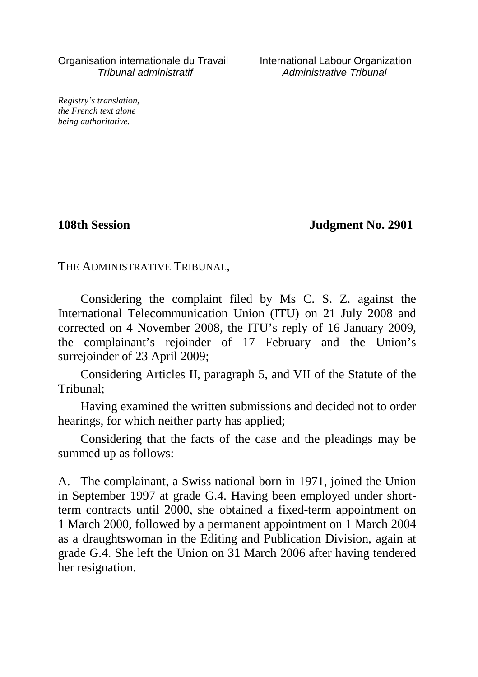Organisation internationale du Travail International Labour Organization Tribunal administratif Administrative Tribunal

*Registry's translation, the French text alone being authoritative.*

**108th Session Judgment No. 2901**

THE ADMINISTRATIVE TRIBUNAL,

Considering the complaint filed by Ms C. S. Z. against the International Telecommunication Union (ITU) on 21 July 2008 and corrected on 4 November 2008, the ITU's reply of 16 January 2009, the complainant's rejoinder of 17 February and the Union's surrejoinder of 23 April 2009;

Considering Articles II, paragraph 5, and VII of the Statute of the Tribunal;

Having examined the written submissions and decided not to order hearings, for which neither party has applied;

Considering that the facts of the case and the pleadings may be summed up as follows:

A. The complainant, a Swiss national born in 1971, joined the Union in September 1997 at grade G.4. Having been employed under shortterm contracts until 2000, she obtained a fixed-term appointment on 1 March 2000, followed by a permanent appointment on 1 March 2004 as a draughtswoman in the Editing and Publication Division, again at grade G.4. She left the Union on 31 March 2006 after having tendered her resignation.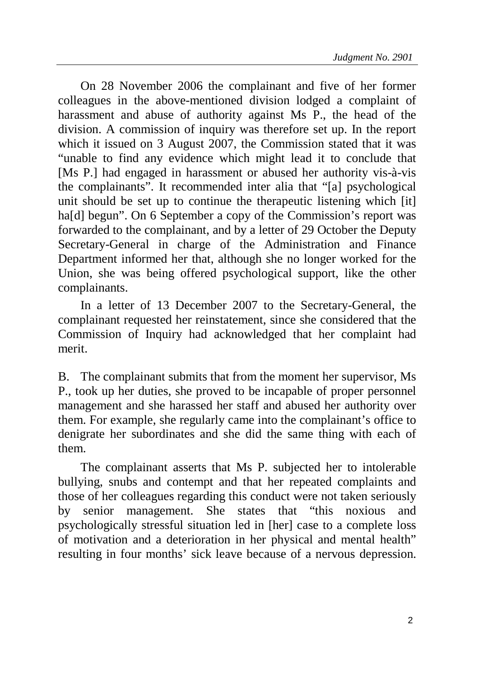On 28 November 2006 the complainant and five of her former colleagues in the above-mentioned division lodged a complaint of harassment and abuse of authority against Ms P., the head of the division. A commission of inquiry was therefore set up. In the report which it issued on 3 August 2007, the Commission stated that it was "unable to find any evidence which might lead it to conclude that [Ms P.] had engaged in harassment or abused her authority vis-à-vis the complainants". It recommended inter alia that "[a] psychological unit should be set up to continue the therapeutic listening which [it] haldl begun". On 6 September a copy of the Commission's report was forwarded to the complainant, and by a letter of 29 October the Deputy Secretary-General in charge of the Administration and Finance Department informed her that, although she no longer worked for the Union, she was being offered psychological support, like the other complainants.

In a letter of 13 December 2007 to the Secretary-General, the complainant requested her reinstatement, since she considered that the Commission of Inquiry had acknowledged that her complaint had merit.

B. The complainant submits that from the moment her supervisor, Ms P., took up her duties, she proved to be incapable of proper personnel management and she harassed her staff and abused her authority over them. For example, she regularly came into the complainant's office to denigrate her subordinates and she did the same thing with each of them.

The complainant asserts that Ms P. subjected her to intolerable bullying, snubs and contempt and that her repeated complaints and those of her colleagues regarding this conduct were not taken seriously by senior management. She states that "this noxious and psychologically stressful situation led in [her] case to a complete loss of motivation and a deterioration in her physical and mental health" resulting in four months' sick leave because of a nervous depression.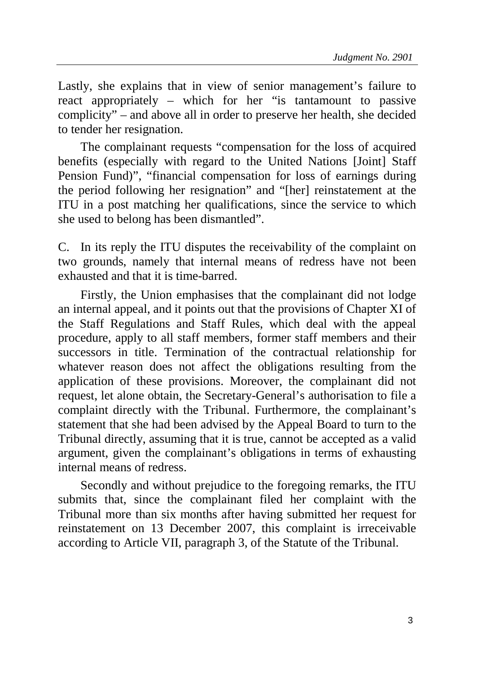Lastly, she explains that in view of senior management's failure to react appropriately – which for her "is tantamount to passive complicity" – and above all in order to preserve her health, she decided to tender her resignation.

The complainant requests "compensation for the loss of acquired benefits (especially with regard to the United Nations [Joint] Staff Pension Fund)", "financial compensation for loss of earnings during the period following her resignation" and "[her] reinstatement at the ITU in a post matching her qualifications, since the service to which she used to belong has been dismantled".

C. In its reply the ITU disputes the receivability of the complaint on two grounds, namely that internal means of redress have not been exhausted and that it is time-barred.

Firstly, the Union emphasises that the complainant did not lodge an internal appeal, and it points out that the provisions of Chapter XI of the Staff Regulations and Staff Rules, which deal with the appeal procedure, apply to all staff members, former staff members and their successors in title. Termination of the contractual relationship for whatever reason does not affect the obligations resulting from the application of these provisions. Moreover, the complainant did not request, let alone obtain, the Secretary-General's authorisation to file a complaint directly with the Tribunal. Furthermore, the complainant's statement that she had been advised by the Appeal Board to turn to the Tribunal directly, assuming that it is true, cannot be accepted as a valid argument, given the complainant's obligations in terms of exhausting internal means of redress.

Secondly and without prejudice to the foregoing remarks, the ITU submits that, since the complainant filed her complaint with the Tribunal more than six months after having submitted her request for reinstatement on 13 December 2007, this complaint is irreceivable according to Article VII, paragraph 3, of the Statute of the Tribunal.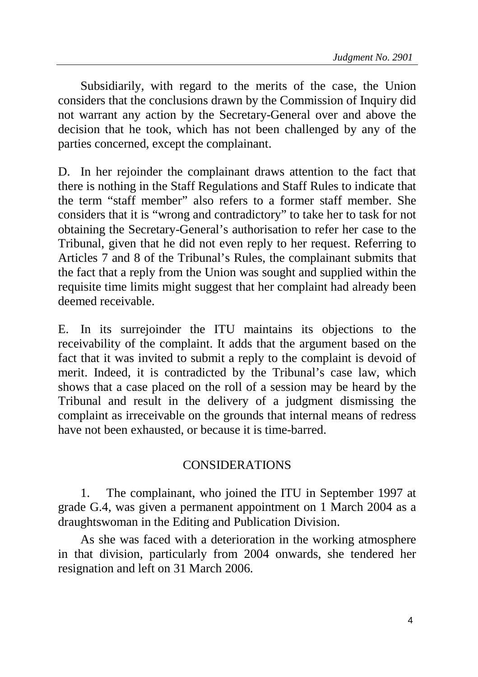Subsidiarily, with regard to the merits of the case, the Union considers that the conclusions drawn by the Commission of Inquiry did not warrant any action by the Secretary-General over and above the decision that he took, which has not been challenged by any of the parties concerned, except the complainant.

D. In her rejoinder the complainant draws attention to the fact that there is nothing in the Staff Regulations and Staff Rules to indicate that the term "staff member" also refers to a former staff member. She considers that it is "wrong and contradictory" to take her to task for not obtaining the Secretary-General's authorisation to refer her case to the Tribunal, given that he did not even reply to her request. Referring to Articles 7 and 8 of the Tribunal's Rules, the complainant submits that the fact that a reply from the Union was sought and supplied within the requisite time limits might suggest that her complaint had already been deemed receivable.

E. In its surrejoinder the ITU maintains its objections to the receivability of the complaint. It adds that the argument based on the fact that it was invited to submit a reply to the complaint is devoid of merit. Indeed, it is contradicted by the Tribunal's case law, which shows that a case placed on the roll of a session may be heard by the Tribunal and result in the delivery of a judgment dismissing the complaint as irreceivable on the grounds that internal means of redress have not been exhausted, or because it is time-barred.

## CONSIDERATIONS

1. The complainant, who joined the ITU in September 1997 at grade G.4, was given a permanent appointment on 1 March 2004 as a draughtswoman in the Editing and Publication Division.

As she was faced with a deterioration in the working atmosphere in that division, particularly from 2004 onwards, she tendered her resignation and left on 31 March 2006.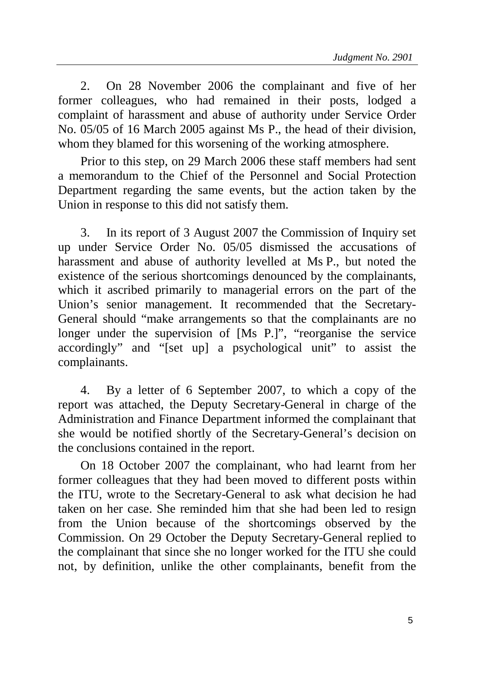2. On 28 November 2006 the complainant and five of her former colleagues, who had remained in their posts, lodged a complaint of harassment and abuse of authority under Service Order No. 05/05 of 16 March 2005 against Ms P., the head of their division, whom they blamed for this worsening of the working atmosphere.

Prior to this step, on 29 March 2006 these staff members had sent a memorandum to the Chief of the Personnel and Social Protection Department regarding the same events, but the action taken by the Union in response to this did not satisfy them.

3. In its report of 3 August 2007 the Commission of Inquiry set up under Service Order No. 05/05 dismissed the accusations of harassment and abuse of authority levelled at Ms P., but noted the existence of the serious shortcomings denounced by the complainants, which it ascribed primarily to managerial errors on the part of the Union's senior management. It recommended that the Secretary-General should "make arrangements so that the complainants are no longer under the supervision of [Ms P.]", "reorganise the service accordingly" and "[set up] a psychological unit" to assist the complainants.

4. By a letter of 6 September 2007, to which a copy of the report was attached, the Deputy Secretary-General in charge of the Administration and Finance Department informed the complainant that she would be notified shortly of the Secretary-General's decision on the conclusions contained in the report.

On 18 October 2007 the complainant, who had learnt from her former colleagues that they had been moved to different posts within the ITU, wrote to the Secretary-General to ask what decision he had taken on her case. She reminded him that she had been led to resign from the Union because of the shortcomings observed by the Commission. On 29 October the Deputy Secretary-General replied to the complainant that since she no longer worked for the ITU she could not, by definition, unlike the other complainants, benefit from the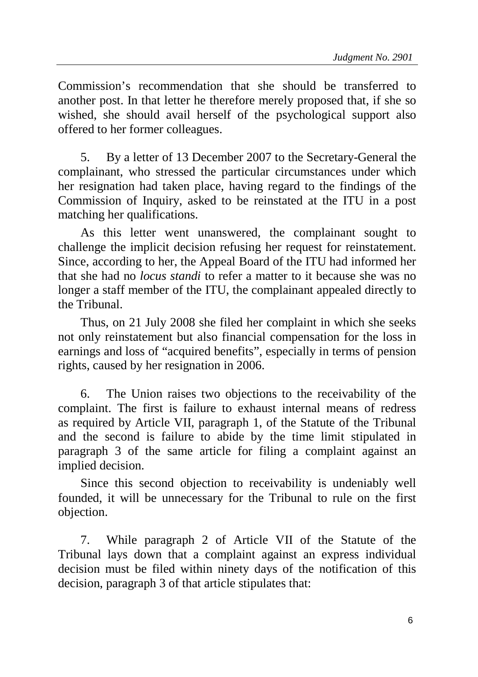Commission's recommendation that she should be transferred to another post. In that letter he therefore merely proposed that, if she so wished, she should avail herself of the psychological support also offered to her former colleagues.

5. By a letter of 13 December 2007 to the Secretary-General the complainant, who stressed the particular circumstances under which her resignation had taken place, having regard to the findings of the Commission of Inquiry, asked to be reinstated at the ITU in a post matching her qualifications.

As this letter went unanswered, the complainant sought to challenge the implicit decision refusing her request for reinstatement. Since, according to her, the Appeal Board of the ITU had informed her that she had no *locus standi* to refer a matter to it because she was no longer a staff member of the ITU, the complainant appealed directly to the Tribunal.

Thus, on 21 July 2008 she filed her complaint in which she seeks not only reinstatement but also financial compensation for the loss in earnings and loss of "acquired benefits", especially in terms of pension rights, caused by her resignation in 2006.

6. The Union raises two objections to the receivability of the complaint. The first is failure to exhaust internal means of redress as required by Article VII, paragraph 1, of the Statute of the Tribunal and the second is failure to abide by the time limit stipulated in paragraph 3 of the same article for filing a complaint against an implied decision.

Since this second objection to receivability is undeniably well founded, it will be unnecessary for the Tribunal to rule on the first objection.

7. While paragraph 2 of Article VII of the Statute of the Tribunal lays down that a complaint against an express individual decision must be filed within ninety days of the notification of this decision, paragraph 3 of that article stipulates that: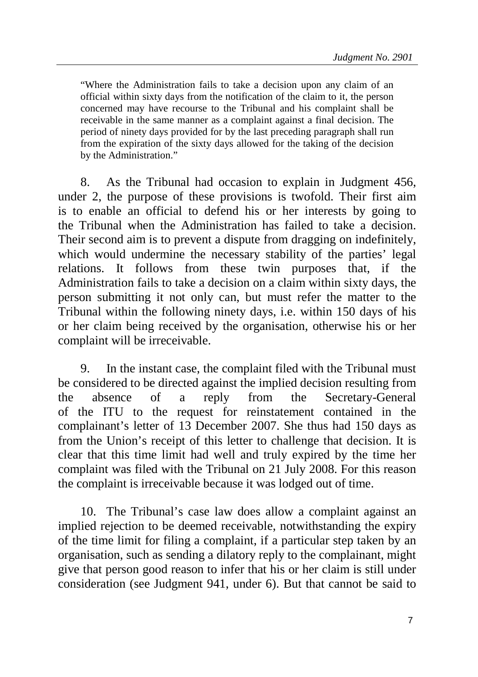"Where the Administration fails to take a decision upon any claim of an official within sixty days from the notification of the claim to it, the person concerned may have recourse to the Tribunal and his complaint shall be receivable in the same manner as a complaint against a final decision. The period of ninety days provided for by the last preceding paragraph shall run from the expiration of the sixty days allowed for the taking of the decision by the Administration."

8. As the Tribunal had occasion to explain in Judgment 456, under 2, the purpose of these provisions is twofold. Their first aim is to enable an official to defend his or her interests by going to the Tribunal when the Administration has failed to take a decision. Their second aim is to prevent a dispute from dragging on indefinitely, which would undermine the necessary stability of the parties' legal relations. It follows from these twin purposes that, if the Administration fails to take a decision on a claim within sixty days, the person submitting it not only can, but must refer the matter to the Tribunal within the following ninety days, i.e. within 150 days of his or her claim being received by the organisation, otherwise his or her complaint will be irreceivable.

9. In the instant case, the complaint filed with the Tribunal must be considered to be directed against the implied decision resulting from the absence of a reply from the Secretary-General of the ITU to the request for reinstatement contained in the complainant's letter of 13 December 2007. She thus had 150 days as from the Union's receipt of this letter to challenge that decision. It is clear that this time limit had well and truly expired by the time her complaint was filed with the Tribunal on 21 July 2008. For this reason the complaint is irreceivable because it was lodged out of time.

10. The Tribunal's case law does allow a complaint against an implied rejection to be deemed receivable, notwithstanding the expiry of the time limit for filing a complaint, if a particular step taken by an organisation, such as sending a dilatory reply to the complainant, might give that person good reason to infer that his or her claim is still under consideration (see Judgment 941, under 6). But that cannot be said to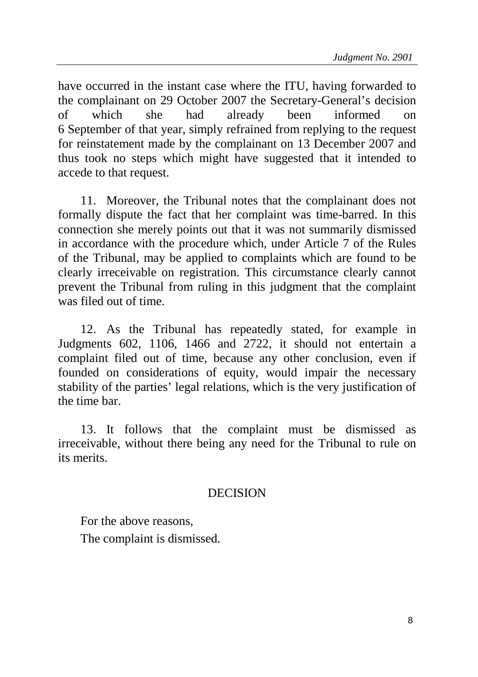have occurred in the instant case where the ITU, having forwarded to the complainant on 29 October 2007 the Secretary-General's decision of which she had already been informed on 6 September of that year, simply refrained from replying to the request for reinstatement made by the complainant on 13 December 2007 and thus took no steps which might have suggested that it intended to accede to that request.

11. Moreover, the Tribunal notes that the complainant does not formally dispute the fact that her complaint was time-barred. In this connection she merely points out that it was not summarily dismissed in accordance with the procedure which, under Article 7 of the Rules of the Tribunal, may be applied to complaints which are found to be clearly irreceivable on registration. This circumstance clearly cannot prevent the Tribunal from ruling in this judgment that the complaint was filed out of time.

12. As the Tribunal has repeatedly stated, for example in Judgments 602, 1106, 1466 and 2722, it should not entertain a complaint filed out of time, because any other conclusion, even if founded on considerations of equity, would impair the necessary stability of the parties' legal relations, which is the very justification of the time bar.

13. It follows that the complaint must be dismissed as irreceivable, without there being any need for the Tribunal to rule on its merits.

## DECISION

For the above reasons,

The complaint is dismissed.